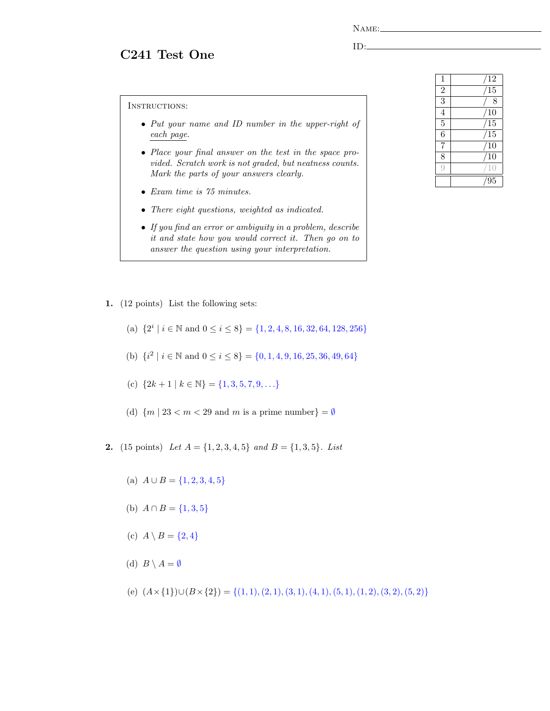C241 Test One

ID:

INSTRUCTIONS:

- Put your name and ID number in the upper-right of each page.
- Place your final answer on the test in the space provided. Scratch work is not graded, but neatness counts. Mark the parts of your answers clearly.
- Exam time is 75 minutes.
- There eight questions, weighted as indicated.
- If you find an error or ambiguity in a problem, describe it and state how you would correct it. Then go on to answer the question using your interpretation.
- 1. (12 points) List the following sets:
	- (a)  $\{2^i \mid i \in \mathbb{N} \text{ and } 0 \le i \le 8\} = \{1, 2, 4, 8, 16, 32, 64, 128, 256\}$
	- (b)  $\{i^2 \mid i \in \mathbb{N} \text{ and } 0 \le i \le 8\} = \{0, 1, 4, 9, 16, 25, 36, 49, 64\}$
	- (c)  ${2k+1 | k \in \mathbb{N}} = {1, 3, 5, 7, 9, \ldots}$
	- (d)  ${m \mid 23 < m < 29}$  and m is a prime number  $=\emptyset$
- **2.** (15 points) Let  $A = \{1, 2, 3, 4, 5\}$  and  $B = \{1, 3, 5\}$ . List
	- (a)  $A \cup B = \{1, 2, 3, 4, 5\}$
	- (b)  $A \cap B = \{1,3,5\}$
	- (c)  $A \setminus B = \{2, 4\}$
	- (d)  $B \setminus A = \emptyset$
	- (e)  $(A \times \{1\}) \cup (B \times \{2\}) = \{(1, 1), (2, 1), (3, 1), (4, 1), (5, 1), (1, 2), (3, 2), (5, 2)\}$

| 1              | 12              |
|----------------|-----------------|
| $\overline{2}$ | $\overline{15}$ |
| $\overline{3}$ | 8               |
| $\overline{4}$ | 10              |
| $\overline{5}$ | 15              |
| $\overline{6}$ | $\overline{15}$ |
| 7              | $\overline{10}$ |
| $\overline{8}$ | 10              |
|                |                 |
|                | 95              |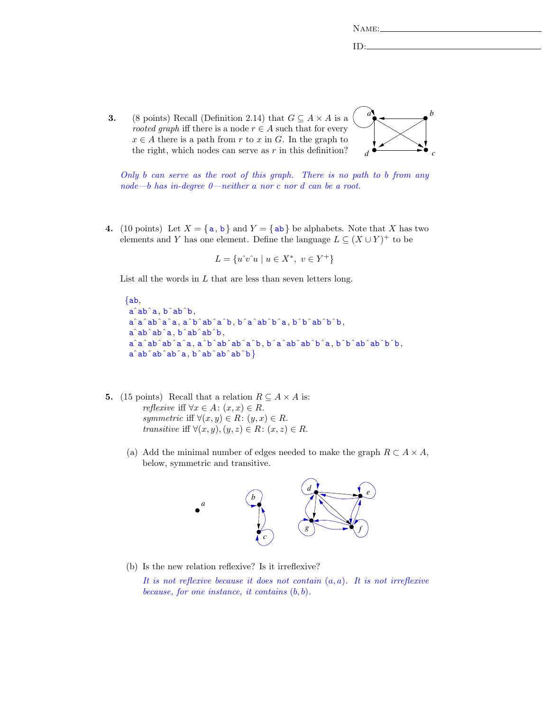| $N$ AME: |  |  |
|----------|--|--|
|          |  |  |
| т        |  |  |

3. (8 points) Recall (Definition 2.14) that  $G \subseteq A \times A$  is a rooted graph iff there is a node  $r \in A$  such that for every  $x \in A$  there is a path from r to x in G. In the graph to the right, which nodes can serve as  $r$  in this definition?



Only b can serve as the root of this graph. There is no path to b from any node—b has in-degree 0—neither a nor c nor d can be a root.

4. (10 points) Let  $X = \{a, b\}$  and  $Y = \{ab\}$  be alphabets. Note that X has two elements and Y has one element. Define the language  $L \subseteq (X \cup Y)^+$  to be

$$
L = \{ u^{\hat{}}v^{\hat{}}u \mid u \in X^*, \ v \in Y^+ \}
$$

List all the words in  $L$  that are less than seven letters long.

```
{ab,aˆabˆa, bˆabˆb,
aˆaˆabˆaˆa, aˆbˆabˆaˆb, bˆaˆabˆbˆa, bˆbˆabˆbˆb,
aˆabˆabˆa, bˆabˆabˆb,
aˆaˆabˆabˆaˆa, aˆbˆabˆabˆaˆb, bˆaˆabˆabˆbˆa, bˆbˆabˆabˆbˆb,
a^{\hat{}}ab\hat{}}ab\hat{}}ab\hat{}}ab\hat{}}ab\hat{}}b\hat{}}
```
- 5. (15 points) Recall that a relation  $R \subseteq A \times A$  is: *reflexive* iff  $\forall x \in A : (x, x) \in R$ . symmetric iff  $\forall (x, y) \in R: (y, x) \in R$ . transitive iff  $\forall (x, y), (y, z) \in R: (x, z) \in R$ .
	- (a) Add the minimal number of edges needed to make the graph  $R \subset A \times A$ , below, symmetric and transitive.



(b) Is the new relation reflexive? Is it irreflexive?

It is not reflexive because it does not contain  $(a, a)$ . It is not irreflexive because, for one instance, it contains  $(b, b)$ .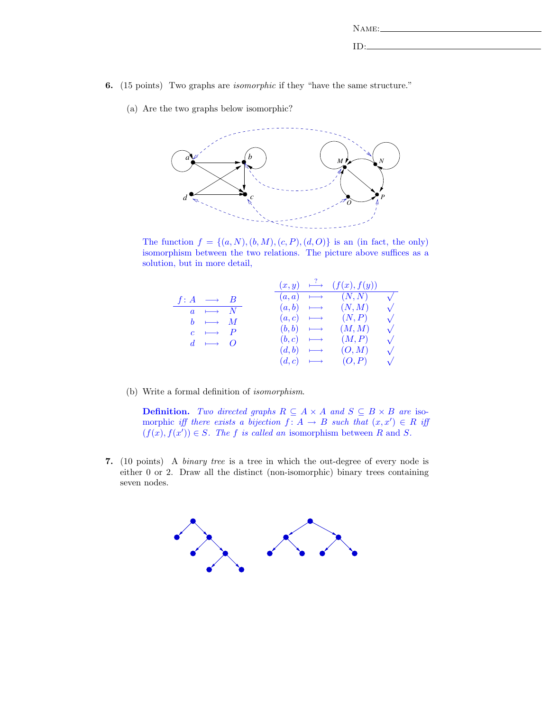| $N$ AME: |  |  |
|----------|--|--|
|          |  |  |
| - 63     |  |  |

- 6. (15 points) Two graphs are isomorphic if they "have the same structure."
	- (a) Are the two graphs below isomorphic?



The function  $f = \{(a, N), (b, M), (c, P), (d, O)\}\$ is an (in fact, the only) isomorphism between the two relations. The picture above suffices as a solution, but in more detail,

|                        | $(x, y) \longmapsto$     | (f(x), f(y)) |            |
|------------------------|--------------------------|--------------|------------|
| $f: A \longrightarrow$ | $(a,a) \longmapsto$      | (N, N)       | $\sqrt{ }$ |
| $a \mapsto N$          | $(a,b) \longrightarrow$  | (N, M)       |            |
| $b \rightarrow M$      | $(a, c) \longmapsto$     | (N, P)       | $\sqrt{}$  |
| $c \rightarrow P$      | $(b, b) \longrightarrow$ | (M, M)       | $\sqrt{}$  |
| $d \rightarrow 0$      | $(b, c) \longrightarrow$ | (M, P)       | $\sqrt{}$  |
|                        | $(d, b) \longrightarrow$ | (O, M)       | $\sqrt{}$  |
|                        | $(d, c) \longmapsto$     | (O, P)       | $\sqrt{}$  |

(b) Write a formal definition of isomorphism.

**Definition.** Two directed graphs  $R \subseteq A \times A$  and  $S \subseteq B \times B$  are isomorphic iff there exists a bijection  $f: A \to B$  such that  $(x, x') \in R$  iff  $(f(x), f(x')) \in S$ . The f is called an isomorphism between R and S.

7. (10 points) A binary tree is a tree in which the out-degree of every node is either 0 or 2. Draw all the distinct (non-isomorphic) binary trees containing seven nodes.

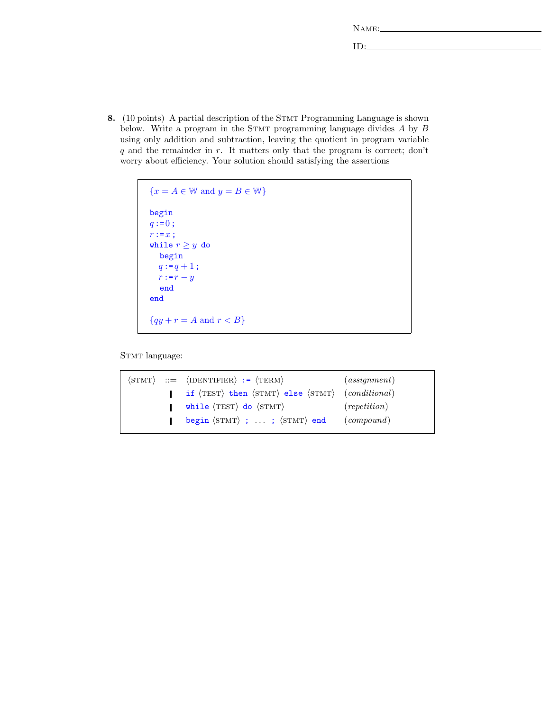| $\Delta$ M <sub>F</sub> . |  |  |  |
|---------------------------|--|--|--|
|                           |  |  |  |

ID:

8. (10 points) A partial description of the STMT Programming Language is shown below. Write a program in the STMT programming language divides  $A$  by  $B$ using only addition and subtraction, leaving the quotient in program variable  $q$  and the remainder in  $r$ . It matters only that the program is correct; don't worry about efficiency. Your solution should satisfying the assertions

```
{x = A \in \mathbb{W} \text{ and } y = B \in \mathbb{W}}begin
q := 0;r := x;while r \geq y do
  begin
  q := q + 1;r := r - yend
end
{qy + r = A \text{ and } r < B}
```
STMT language: